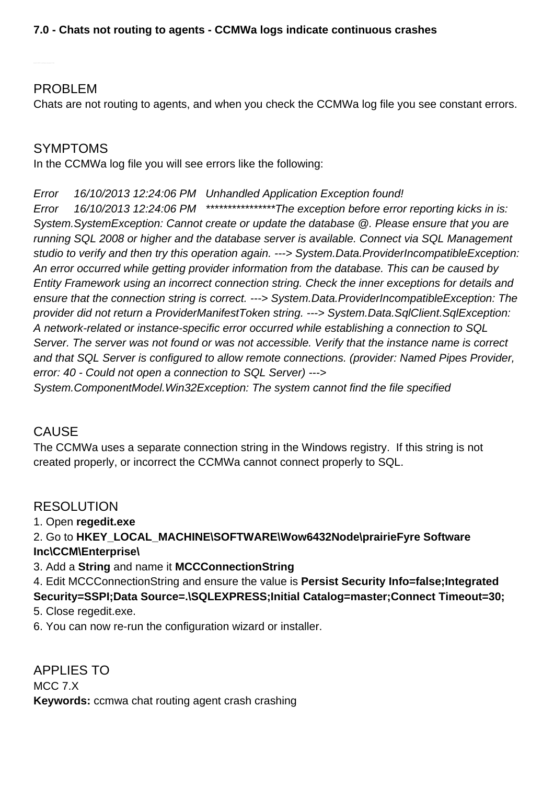## PROBLEM

Chats are not routing to agents, and when you check the CCMWa log file you see constant errors.

## SYMPTOMS

In the CCMWa log file you will see errors like the following:

#### Error 16/10/2013 12:24:06 PM Unhandled Application Exception found!

Error 16/10/2013 12:24:06 PM \*\*\*\*\*\*\*\*\*\*\*\*\*\*\*\*\*The exception before error reporting kicks in is: System.SystemException: Cannot create or update the database @. Please ensure that you are running SQL 2008 or higher and the database server is available. Connect via SQL Management studio to verify and then try this operation again. ---> System.Data.ProviderIncompatibleException: An error occurred while getting provider information from the database. This can be caused by Entity Framework using an incorrect connection string. Check the inner exceptions for details and ensure that the connection string is correct. ---> System.Data.ProviderIncompatibleException: The provider did not return a ProviderManifestToken string. ---> System.Data.SqlClient.SqlException: A network-related or instance-specific error occurred while establishing a connection to SQL Server. The server was not found or was not accessible. Verify that the instance name is correct and that SQL Server is configured to allow remote connections. (provider: Named Pipes Provider, error: 40 - Could not open a connection to SQL Server) --->

System.ComponentModel.Win32Exception: The system cannot find the file specified

# CAUSE

The CCMWa uses a separate connection string in the Windows registry. If this string is not created properly, or incorrect the CCMWa cannot connect properly to SQL.

## RESOLUTION

1. Open **regedit.exe**

2. Go to **HKEY\_LOCAL\_MACHINE\SOFTWARE\Wow6432Node\prairieFyre Software Inc\CCM\Enterprise\**

3. Add a **String** and name it **MCCConnectionString**

4. Edit MCCConnectionString and ensure the value is **Persist Security Info=false;Integrated**

**Security=SSPI;Data Source=.\SQLEXPRESS;Initial Catalog=master;Connect Timeout=30;**

5. Close regedit.exe.

6. You can now re-run the configuration wizard or installer.

APPLIES TO MCC 7.X **Keywords:** ccmwa chat routing agent crash crashing